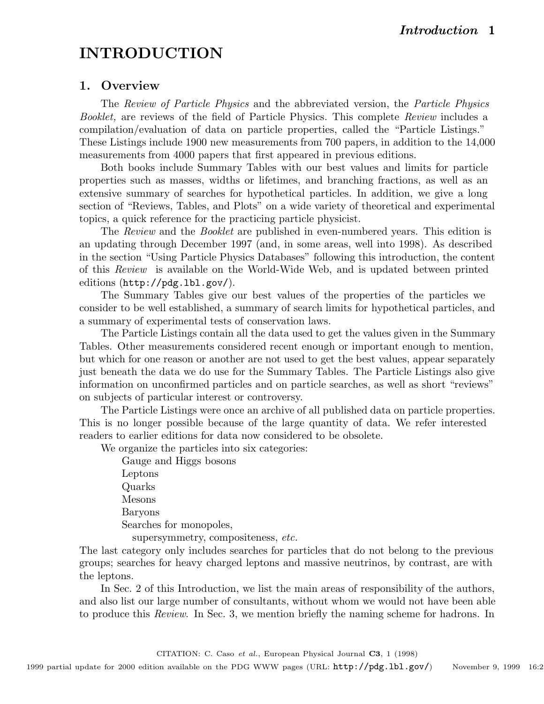# **INTRODUCTION**

### **1. Overview**

The Review of Particle Physics and the abbreviated version, the Particle Physics Booklet, are reviews of the field of Particle Physics. This complete Review includes a compilation/evaluation of data on particle properties, called the "Particle Listings." These Listings include 1900 new measurements from 700 papers, in addition to the 14,000 measurements from 4000 papers that first appeared in previous editions.

Both books include Summary Tables with our best values and limits for particle properties such as masses, widths or lifetimes, and branching fractions, as well as an extensive summary of searches for hypothetical particles. In addition, we give a long section of "Reviews, Tables, and Plots" on a wide variety of theoretical and experimental topics, a quick reference for the practicing particle physicist.

The Review and the Booklet are published in even-numbered years. This edition is an updating through December 1997 (and, in some areas, well into 1998). As described in the section "Using Particle Physics Databases" following this introduction, the content of this Review is available on the World-Wide Web, and is updated between printed editions (http://pdg.lbl.gov/).

The Summary Tables give our best values of the properties of the particles we consider to be well established, a summary of search limits for hypothetical particles, and a summary of experimental tests of conservation laws.

The Particle Listings contain all the data used to get the values given in the Summary Tables. Other measurements considered recent enough or important enough to mention, but which for one reason or another are not used to get the best values, appear separately just beneath the data we do use for the Summary Tables. The Particle Listings also give information on unconfirmed particles and on particle searches, as well as short "reviews" on subjects of particular interest or controversy.

The Particle Listings were once an archive of all published data on particle properties. This is no longer possible because of the large quantity of data. We refer interested readers to earlier editions for data now considered to be obsolete.

We organize the particles into six categories:

Gauge and Higgs bosons Leptons Quarks Mesons Baryons Searches for monopoles,

supersymmetry, compositeness, etc.

The last category only includes searches for particles that do not belong to the previous groups; searches for heavy charged leptons and massive neutrinos, by contrast, are with the leptons.

In Sec. 2 of this Introduction, we list the main areas of responsibility of the authors, and also list our large number of consultants, without whom we would not have been able to produce this *Review*. In Sec. 3, we mention briefly the naming scheme for hadrons. In

CITATION: C. Caso et al., European Physical Journal **C3**, 1 (1998)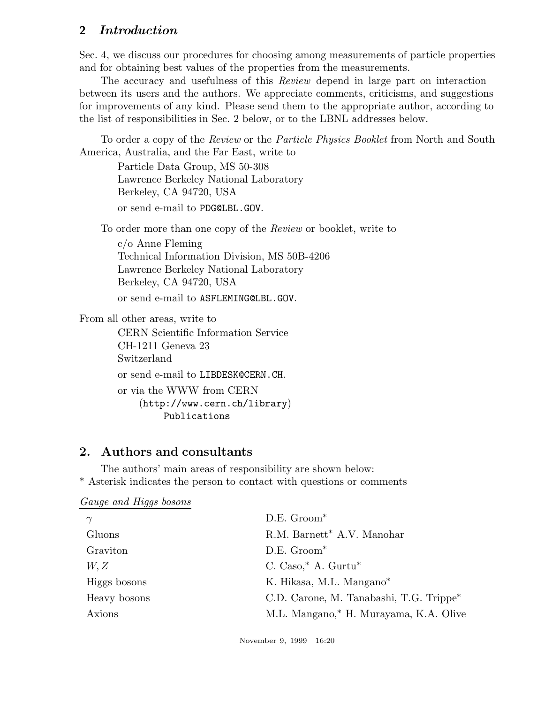Sec. 4, we discuss our procedures for choosing among measurements of particle properties and for obtaining best values of the properties from the measurements.

The accuracy and usefulness of this Review depend in large part on interaction between its users and the authors. We appreciate comments, criticisms, and suggestions for improvements of any kind. Please send them to the appropriate author, according to the list of responsibilities in Sec. 2 below, or to the LBNL addresses below.

To order a copy of the Review or the Particle Physics Booklet from North and South America, Australia, and the Far East, write to

Particle Data Group, MS 50-308 Lawrence Berkeley National Laboratory Berkeley, CA 94720, USA or send e-mail to PDG@LBL.GOV.

To order more than one copy of the Review or booklet, write to

c/o Anne Fleming Technical Information Division, MS 50B-4206 Lawrence Berkeley National Laboratory Berkeley, CA 94720, USA or send e-mail to ASFLEMING@LBL.GOV.

From all other areas, write to

CERN Scientific Information Service CH-1211 Geneva 23 Switzerland or send e-mail to LIBDESK@CERN.CH.

or via the WWW from CERN (http://www.cern.ch/library) Publications

### **2. Authors and consultants**

The authors' main areas of responsibility are shown below: \* Asterisk indicates the person to contact with questions or comments

| Gauge and Higgs bosons |  |  |  |
|------------------------|--|--|--|
|------------------------|--|--|--|

| $\gamma$     | D.E. Groom*                                         |
|--------------|-----------------------------------------------------|
| Gluons       | R.M. Barnett* A.V. Manohar                          |
| Graviton     | $D.E. Groom^*$                                      |
| W, Z         | C. Caso, $*$ A. Gurtu $*$                           |
| Higgs bosons | K. Hikasa, M.L. Mangano*                            |
| Heavy bosons | C.D. Carone, M. Tanabashi, T.G. Trippe <sup>*</sup> |
| Axions       | M.L. Mangano,* H. Murayama, K.A. Olive              |
|              |                                                     |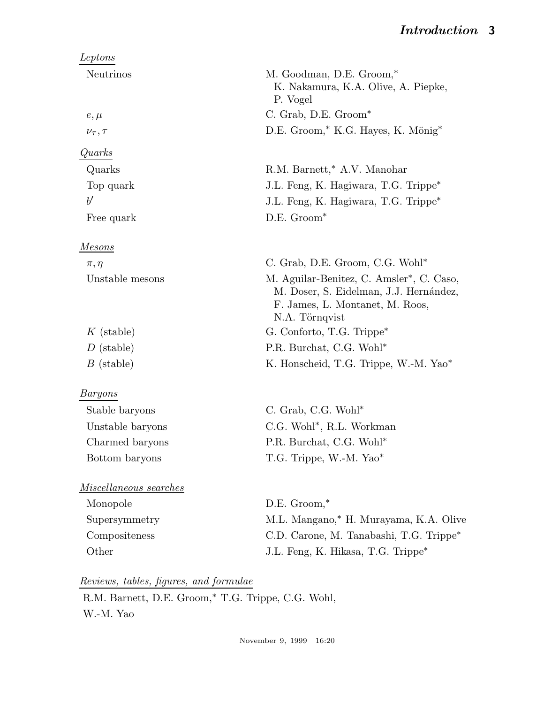| Leptons            |                                                                                                                                                      |  |
|--------------------|------------------------------------------------------------------------------------------------------------------------------------------------------|--|
| <b>Neutrinos</b>   | M. Goodman, D.E. Groom,*<br>K. Nakamura, K.A. Olive, A. Piepke,<br>P. Vogel                                                                          |  |
| $e,\mu$            | $C.$ Grab, D.E. Groom <sup>*</sup>                                                                                                                   |  |
| $\nu_{\tau}, \tau$ | D.E. Groom,* K.G. Hayes, K. Mönig*                                                                                                                   |  |
| Quarks             |                                                                                                                                                      |  |
| Quarks             | R.M. Barnett,* A.V. Manohar                                                                                                                          |  |
| Top quark          | J.L. Feng, K. Hagiwara, T.G. Trippe <sup>*</sup>                                                                                                     |  |
| $b^{\prime}$       | J.L. Feng, K. Hagiwara, T.G. Trippe <sup>*</sup>                                                                                                     |  |
| Free quark         | $D.E. Groom*$                                                                                                                                        |  |
| <u>Mesons</u>      |                                                                                                                                                      |  |
| $\pi, \eta$        | C. Grab, D.E. Groom, C.G. Wohl <sup>*</sup>                                                                                                          |  |
| Unstable mesons    | M. Aguilar-Benitez, C. Amsler <sup>*</sup> , C. Caso,<br>M. Doser, S. Eidelman, J.J. Hernández,<br>F. James, L. Montanet, M. Roos,<br>N.A. Törnqvist |  |

K (stable) G. Conforto, T.G. Trippe<sup>\*</sup> D (stable) P.R. Burchat, C.G. Wohl∗ B (stable) K. Honscheid, T.G. Trippe, W.-M. Yao\*

#### Baryons

| Stable baryons   | $C.$ Grab, $C.G.$ Wohl <sup>*</sup> |
|------------------|-------------------------------------|
| Unstable baryons | C.G. Wohl*, R.L. Workman            |
| Charmed baryons  | P.R. Burchat, C.G. Wohl*            |
| Bottom baryons   | T.G. Trippe, W.-M. Yao*             |

## Miscellaneous searches Monopole D.E. Groom,∗ Supersymmetry M.L. Mangano,∗ H. Murayama, K.A. Olive Compositeness C.D. Carone, M. Tanabashi, T.G. Trippe∗ Other J.L. Feng, K. Hikasa, T.G. Trippe∗

Reviews, tables, figures, and formulae

R.M. Barnett, D.E. Groom,∗ T.G. Trippe, C.G. Wohl, W.-M. Yao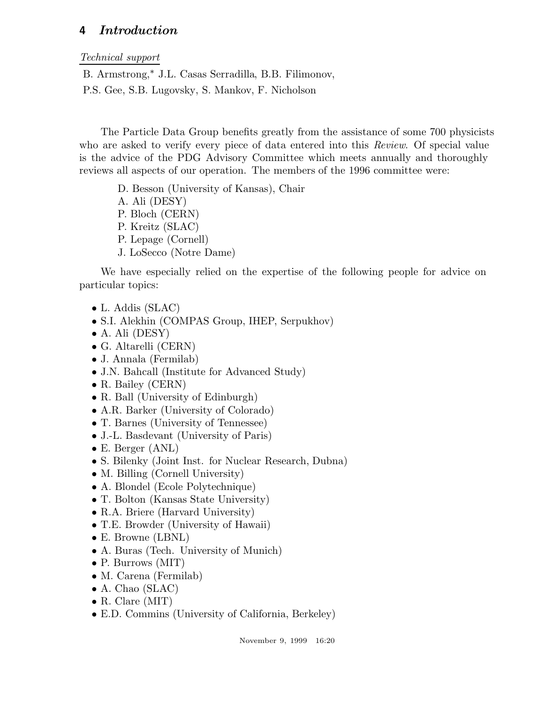### Technical support

B. Armstrong,∗ J.L. Casas Serradilla, B.B. Filimonov, P.S. Gee, S.B. Lugovsky, S. Mankov, F. Nicholson

The Particle Data Group benefits greatly from the assistance of some 700 physicists who are asked to verify every piece of data entered into this Review. Of special value is the advice of the PDG Advisory Committee which meets annually and thoroughly reviews all aspects of our operation. The members of the 1996 committee were:

D. Besson (University of Kansas), Chair A. Ali (DESY) P. Bloch (CERN) P. Kreitz (SLAC) P. Lepage (Cornell) J. LoSecco (Notre Dame)

We have especially relied on the expertise of the following people for advice on particular topics:

- L. Addis (SLAC)
- S.I. Alekhin (COMPAS Group, IHEP, Serpukhov)
- A. Ali (DESY)
- G. Altarelli (CERN)
- J. Annala (Fermilab)
- J.N. Bahcall (Institute for Advanced Study)
- R. Bailey (CERN)
- R. Ball (University of Edinburgh)
- A.R. Barker (University of Colorado)
- T. Barnes (University of Tennessee)
- J.-L. Basdevant (University of Paris)
- E. Berger (ANL)
- S. Bilenky (Joint Inst. for Nuclear Research, Dubna)
- M. Billing (Cornell University)
- A. Blondel (Ecole Polytechnique)
- T. Bolton (Kansas State University)
- R.A. Briere (Harvard University)
- T.E. Browder (University of Hawaii)
- E. Browne (LBNL)
- A. Buras (Tech. University of Munich)
- P. Burrows (MIT)
- M. Carena (Fermilab)
- A. Chao (SLAC)
- R. Clare (MIT)
- E.D. Commins (University of California, Berkeley)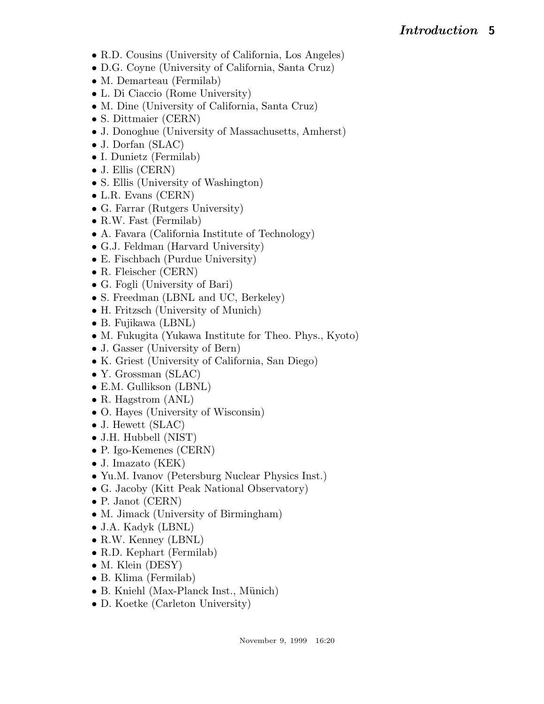- R.D. Cousins (University of California, Los Angeles)
- D.G. Coyne (University of California, Santa Cruz)
- M. Demarteau (Fermilab)
- L. Di Ciaccio (Rome University)
- M. Dine (University of California, Santa Cruz)
- S. Dittmaier (CERN)
- J. Donoghue (University of Massachusetts, Amherst)
- J. Dorfan (SLAC)
- I. Dunietz (Fermilab)
- J. Ellis (CERN)
- S. Ellis (University of Washington)
- L.R. Evans (CERN)
- G. Farrar (Rutgers University)
- R.W. Fast (Fermilab)
- A. Favara (California Institute of Technology)
- G.J. Feldman (Harvard University)
- E. Fischbach (Purdue University)
- R. Fleischer (CERN)
- G. Fogli (University of Bari)
- S. Freedman (LBNL and UC, Berkeley)
- H. Fritzsch (University of Munich)
- B. Fujikawa (LBNL)
- M. Fukugita (Yukawa Institute for Theo. Phys., Kyoto)
- J. Gasser (University of Bern)
- K. Griest (University of California, San Diego)
- Y. Grossman (SLAC)
- E.M. Gullikson (LBNL)
- R. Hagstrom (ANL)
- O. Hayes (University of Wisconsin)
- J. Hewett (SLAC)
- J.H. Hubbell (NIST)
- P. Igo-Kemenes (CERN)
- J. Imazato (KEK)
- Yu.M. Ivanov (Petersburg Nuclear Physics Inst.)
- G. Jacoby (Kitt Peak National Observatory)
- P. Janot (CERN)
- M. Jimack (University of Birmingham)
- J.A. Kadyk (LBNL)
- R.W. Kenney (LBNL)
- R.D. Kephart (Fermilab)
- M. Klein (DESY)
- B. Klima (Fermilab)
- B. Kniehl (Max-Planck Inst., Münich)
- D. Koetke (Carleton University)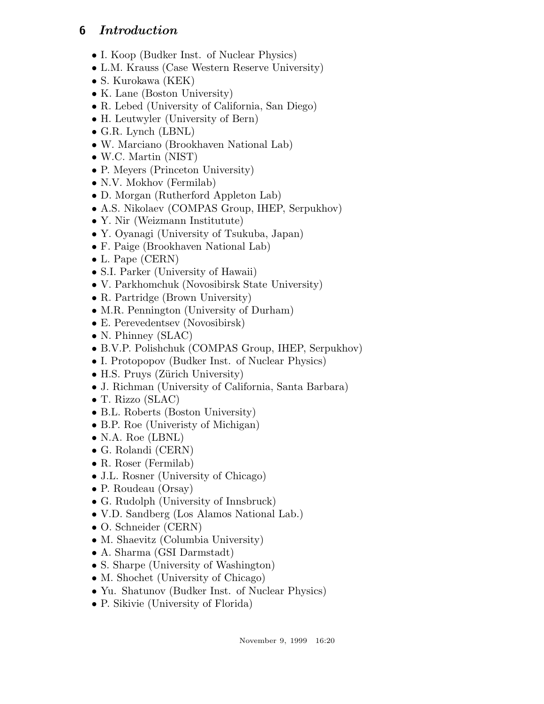- I. Koop (Budker Inst. of Nuclear Physics)
- L.M. Krauss (Case Western Reserve University)
- S. Kurokawa (KEK)
- K. Lane (Boston University)
- R. Lebed (University of California, San Diego)
- H. Leutwyler (University of Bern)
- G.R. Lynch (LBNL)
- W. Marciano (Brookhaven National Lab)
- W.C. Martin (NIST)
- P. Meyers (Princeton University)
- N.V. Mokhov (Fermilab)
- D. Morgan (Rutherford Appleton Lab)
- A.S. Nikolaev (COMPAS Group, IHEP, Serpukhov)
- Y. Nir (Weizmann Institutute)
- Y. Oyanagi (University of Tsukuba, Japan)
- F. Paige (Brookhaven National Lab)
- L. Pape (CERN)
- S.I. Parker (University of Hawaii)
- V. Parkhomchuk (Novosibirsk State University)
- R. Partridge (Brown University)
- M.R. Pennington (University of Durham)
- E. Perevedentsev (Novosibirsk)
- N. Phinney (SLAC)
- B.V.P. Polishchuk (COMPAS Group, IHEP, Serpukhov)
- I. Protopopov (Budker Inst. of Nuclear Physics)
- H.S. Pruys (Zürich University)
- J. Richman (University of California, Santa Barbara)
- T. Rizzo (SLAC)
- B.L. Roberts (Boston University)
- B.P. Roe (Univeristy of Michigan)
- N.A. Roe (LBNL)
- G. Rolandi (CERN)
- R. Roser (Fermilab)
- J.L. Rosner (University of Chicago)
- P. Roudeau (Orsay)
- G. Rudolph (University of Innsbruck)
- V.D. Sandberg (Los Alamos National Lab.)
- O. Schneider (CERN)
- M. Shaevitz (Columbia University)
- A. Sharma (GSI Darmstadt)
- S. Sharpe (University of Washington)
- M. Shochet (University of Chicago)
- Yu. Shatunov (Budker Inst. of Nuclear Physics)
- P. Sikivie (University of Florida)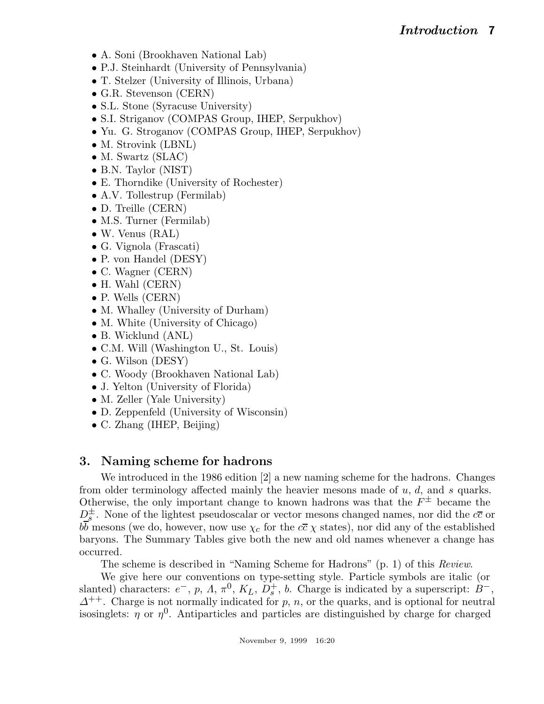- A. Soni (Brookhaven National Lab)
- P.J. Steinhardt (University of Pennsylvania)
- T. Stelzer (University of Illinois, Urbana)
- G.R. Stevenson (CERN)
- S.L. Stone (Syracuse University)
- S.I. Striganov (COMPAS Group, IHEP, Serpukhov)
- Yu. G. Stroganov (COMPAS Group, IHEP, Serpukhov)
- M. Strovink (LBNL)
- M. Swartz (SLAC)
- B.N. Taylor (NIST)
- E. Thorndike (University of Rochester)
- A.V. Tollestrup (Fermilab)
- D. Treille (CERN)
- M.S. Turner (Fermilab)
- W. Venus (RAL)
- G. Vignola (Frascati)
- P. von Handel (DESY)
- C. Wagner (CERN)
- H. Wahl (CERN)
- P. Wells (CERN)
- M. Whalley (University of Durham)
- M. White (University of Chicago)
- B. Wicklund (ANL)
- C.M. Will (Washington U., St. Louis)
- G. Wilson (DESY)
- C. Woody (Brookhaven National Lab)
- J. Yelton (University of Florida)
- M. Zeller (Yale University)
- D. Zeppenfeld (University of Wisconsin)
- C. Zhang (IHEP, Beijing)

#### **3. Naming scheme for hadrons**

We introduced in the 1986 edition [2] a new naming scheme for the hadrons. Changes from older terminology affected mainly the heavier mesons made of  $u, d$ , and  $s$  quarks. Otherwise, the only important change to known hadrons was that the  $F^{\pm}$  became the  $D_s^{\pm}$ . None of the lightest pseudoscalar or vector mesons changed names, nor did the  $c\overline{c}$  or  $b\overline{b}$  mesons (we do, however, now use  $\chi_c$  for the  $c\overline{c} \chi$  states), nor did any of the established baryons. The Summary Tables give both the new and old names whenever a change has occurred.

The scheme is described in "Naming Scheme for Hadrons" (p. 1) of this Review.

We give here our conventions on type-setting style. Particle symbols are italic (or slanted) characters:  $e^-$ , p,  $\Lambda$ ,  $\pi^0$ ,  $K_L$ ,  $\overline{D_s^+}$ , b. Charge is indicated by a superscript:  $\overline{B}^-$ ,  $\Delta^{++}$ . Charge is not normally indicated for p, n, or the quarks, and is optional for neutral isosinglets:  $\eta$  or  $\eta^0$ . Antiparticles and particles are distinguished by charge for charged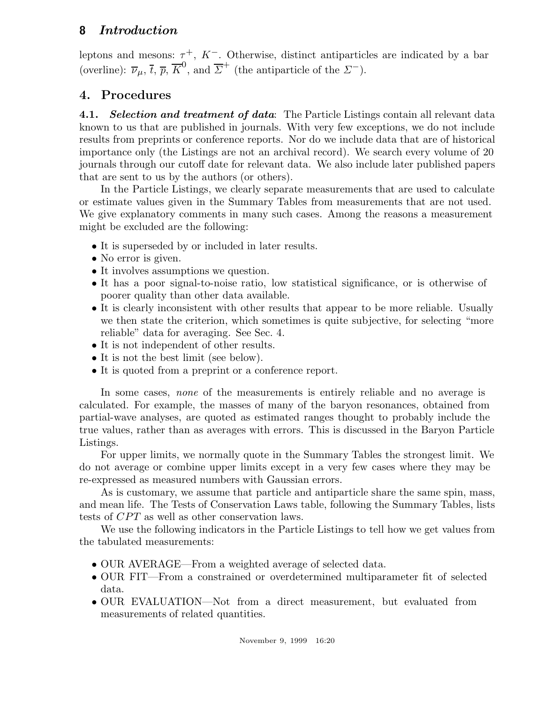leptons and mesons:  $\tau^+$ , K<sup>-</sup>. Otherwise, distinct antiparticles are indicated by a bar (overline):  $\overline{\nu}_{\mu}$ ,  $\overline{t}$ ,  $\overline{p}$ ,  $\overline{K}^{0}$ , and  $\overline{\Sigma}^{+}$  (the antiparticle of the  $\Sigma^{-}$ ).

## **4. Procedures**

**4.1.** *Selection and treatment of data*: The Particle Listings contain all relevant data known to us that are published in journals. With very few exceptions, we do not include results from preprints or conference reports. Nor do we include data that are of historical importance only (the Listings are not an archival record). We search every volume of 20 journals through our cutoff date for relevant data. We also include later published papers that are sent to us by the authors (or others).

In the Particle Listings, we clearly separate measurements that are used to calculate or estimate values given in the Summary Tables from measurements that are not used. We give explanatory comments in many such cases. Among the reasons a measurement might be excluded are the following:

- It is superseded by or included in later results.
- No error is given.
- It involves assumptions we question.
- It has a poor signal-to-noise ratio, low statistical significance, or is otherwise of poorer quality than other data available.
- It is clearly inconsistent with other results that appear to be more reliable. Usually we then state the criterion, which sometimes is quite subjective, for selecting "more reliable" data for averaging. See Sec. 4.
- It is not independent of other results.
- It is not the best limit (see below).
- It is quoted from a preprint or a conference report.

In some cases, none of the measurements is entirely reliable and no average is calculated. For example, the masses of many of the baryon resonances, obtained from partial-wave analyses, are quoted as estimated ranges thought to probably include the true values, rather than as averages with errors. This is discussed in the Baryon Particle Listings.

For upper limits, we normally quote in the Summary Tables the strongest limit. We do not average or combine upper limits except in a very few cases where they may be re-expressed as measured numbers with Gaussian errors.

As is customary, we assume that particle and antiparticle share the same spin, mass, and mean life. The Tests of Conservation Laws table, following the Summary Tables, lists tests of CPT as well as other conservation laws.

We use the following indicators in the Particle Listings to tell how we get values from the tabulated measurements:

- OUR AVERAGE—From a weighted average of selected data.
- OUR FIT—From a constrained or overdetermined multiparameter fit of selected data.
- OUR EVALUATION—Not from a direct measurement, but evaluated from measurements of related quantities.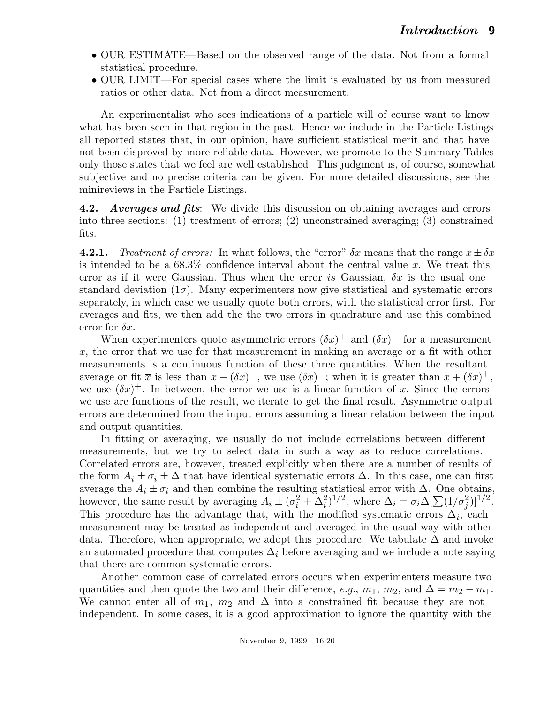- OUR ESTIMATE—Based on the observed range of the data. Not from a formal statistical procedure.
- OUR LIMIT—For special cases where the limit is evaluated by us from measured ratios or other data. Not from a direct measurement.

An experimentalist who sees indications of a particle will of course want to know what has been seen in that region in the past. Hence we include in the Particle Listings all reported states that, in our opinion, have sufficient statistical merit and that have not been disproved by more reliable data. However, we promote to the Summary Tables only those states that we feel are well established. This judgment is, of course, somewhat subjective and no precise criteria can be given. For more detailed discussions, see the minireviews in the Particle Listings.

**4.2.** *Averages and fits*: We divide this discussion on obtaining averages and errors into three sections: (1) treatment of errors; (2) unconstrained averaging; (3) constrained fits.

**4.2.1.** Treatment of errors: In what follows, the "error"  $\delta x$  means that the range  $x \pm \delta x$ is intended to be a  $68.3\%$  confidence interval about the central value x. We treat this error as if it were Gaussian. Thus when the error is Gaussian,  $\delta x$  is the usual one standard deviation  $(1\sigma)$ . Many experimenters now give statistical and systematic errors separately, in which case we usually quote both errors, with the statistical error first. For averages and fits, we then add the the two errors in quadrature and use this combined error for  $\delta x$ .

When experimenters quote asymmetric errors  $(\delta x)^+$  and  $(\delta x)^-$  for a measurement  $x$ , the error that we use for that measurement in making an average or a fit with other measurements is a continuous function of these three quantities. When the resultant average or fit  $\overline{x}$  is less than  $x - (\delta x)^{-}$ , we use  $(\delta x)^{-}$ ; when it is greater than  $x + (\delta x)^{+}$ , we use  $(\delta x)^+$ . In between, the error we use is a linear function of x. Since the errors we use are functions of the result, we iterate to get the final result. Asymmetric output errors are determined from the input errors assuming a linear relation between the input and output quantities.

In fitting or averaging, we usually do not include correlations between different measurements, but we try to select data in such a way as to reduce correlations. Correlated errors are, however, treated explicitly when there are a number of results of the form  $A_i \pm \sigma_i \pm \Delta$  that have identical systematic errors  $\Delta$ . In this case, one can first average the  $A_i \pm \sigma_i$  and then combine the resulting statistical error with  $\Delta$ . One obtains, however, the same result by averaging  $A_i \pm (\sigma_i^2 + \Delta_i^2)^{1/2}$ , where  $\Delta_i = \sigma_i \Delta [\sum (1/\sigma_j^2)]^{1/2}$ . This procedure has the advantage that, with the modified systematic errors  $\Delta_i$ , each measurement may be treated as independent and averaged in the usual way with other data. Therefore, when appropriate, we adopt this procedure. We tabulate  $\Delta$  and invoke an automated procedure that computes  $\Delta_i$  before averaging and we include a note saying that there are common systematic errors.

Another common case of correlated errors occurs when experimenters measure two quantities and then quote the two and their difference, e.g.,  $m_1$ ,  $m_2$ , and  $\Delta = m_2 - m_1$ . We cannot enter all of  $m_1$ ,  $m_2$  and  $\Delta$  into a constrained fit because they are not independent. In some cases, it is a good approximation to ignore the quantity with the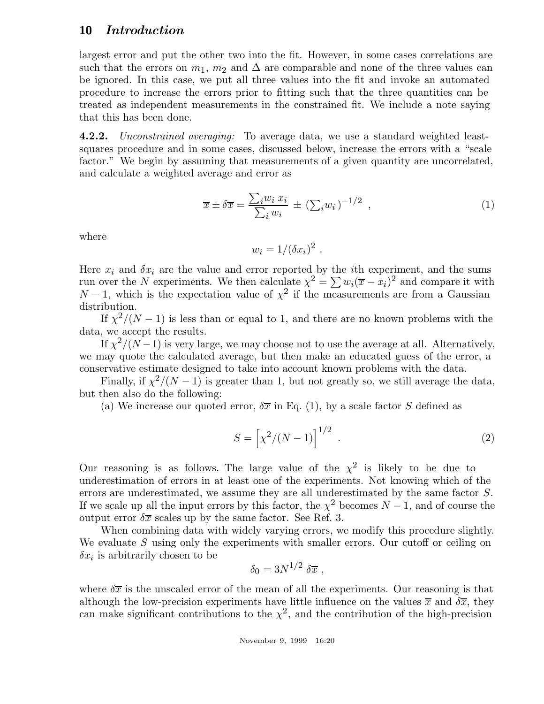largest error and put the other two into the fit. However, in some cases correlations are such that the errors on  $m_1$ ,  $m_2$  and  $\Delta$  are comparable and none of the three values can be ignored. In this case, we put all three values into the fit and invoke an automated procedure to increase the errors prior to fitting such that the three quantities can be treated as independent measurements in the constrained fit. We include a note saying that this has been done.

**4.2.2.** Unconstrained averaging: To average data, we use a standard weighted leastsquares procedure and in some cases, discussed below, increase the errors with a "scale factor." We begin by assuming that measurements of a given quantity are uncorrelated, and calculate a weighted average and error as

$$
\overline{x} \pm \delta \overline{x} = \frac{\sum_i w_i x_i}{\sum_i w_i} \pm (\sum_i w_i)^{-1/2} , \qquad (1)
$$

where

$$
w_i = 1/(\delta x_i)^2.
$$

Here  $x_i$  and  $\delta x_i$  are the value and error reported by the *i*th experiment, and the sums run over the N experiments. We then calculate  $\chi^2 = \sum w_i (\overline{x} - x_i)^2$  and compare it with  $N-1$ , which is the expectation value of  $\chi^2$  if the measurements are from a Gaussian distribution.

If  $\chi^2/(N-1)$  is less than or equal to 1, and there are no known problems with the data, we accept the results.

If  $\chi^2/(N-1)$  is very large, we may choose not to use the average at all. Alternatively, we may quote the calculated average, but then make an educated guess of the error, a conservative estimate designed to take into account known problems with the data.

Finally, if  $\chi^2/(N-1)$  is greater than 1, but not greatly so, we still average the data, but then also do the following:

(a) We increase our quoted error,  $\delta \overline{x}$  in Eq. (1), by a scale factor S defined as

$$
S = \left[\chi^2/(N-1)\right]^{1/2} \tag{2}
$$

Our reasoning is as follows. The large value of the  $\chi^2$  is likely to be due to underestimation of errors in at least one of the experiments. Not knowing which of the errors are underestimated, we assume they are all underestimated by the same factor S. If we scale up all the input errors by this factor, the  $\chi^2$  becomes  $N-1$ , and of course the output error  $\delta \overline{x}$  scales up by the same factor. See Ref. 3.

When combining data with widely varying errors, we modify this procedure slightly. We evaluate  $S$  using only the experiments with smaller errors. Our cutoff or ceiling on  $\delta x_i$  is arbitrarily chosen to be

$$
\delta_0 = 3N^{1/2} \delta \overline{x} ,
$$

where  $\delta \overline{x}$  is the unscaled error of the mean of all the experiments. Our reasoning is that although the low-precision experiments have little influence on the values  $\bar{x}$  and  $\delta \bar{x}$ , they can make significant contributions to the  $\chi^2$ , and the contribution of the high-precision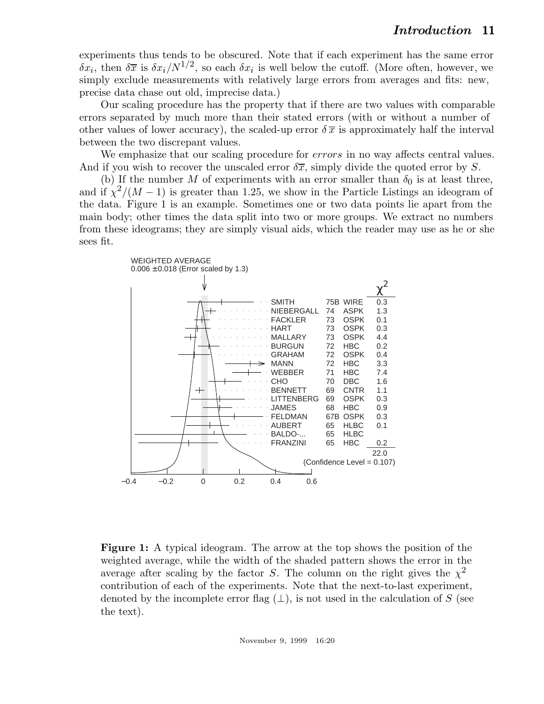experiments thus tends to be obscured. Note that if each experiment has the same error  $\delta x_i$ , then  $\delta \overline{x}$  is  $\delta x_i/N^{1/2}$ , so each  $\delta x_i$  is well below the cutoff. (More often, however, we simply exclude measurements with relatively large errors from averages and fits: new, precise data chase out old, imprecise data.)

Our scaling procedure has the property that if there are two values with comparable errors separated by much more than their stated errors (with or without a number of other values of lower accuracy), the scaled-up error  $\delta \bar{x}$  is approximately half the interval between the two discrepant values.

We emphasize that our scaling procedure for *errors* in no way affects central values. And if you wish to recover the unscaled error  $\delta \overline{x}$ , simply divide the quoted error by S.

(b) If the number M of experiments with an error smaller than  $\delta_0$  is at least three, and if  $\chi^2/(M-1)$  is greater than 1.25, we show in the Particle Listings an ideogram of the data. Figure 1 is an example. Sometimes one or two data points lie apart from the main body; other times the data split into two or more groups. We extract no numbers from these ideograms; they are simply visual aids, which the reader may use as he or she sees fit.



**Figure 1:** A typical ideogram. The arrow at the top shows the position of the weighted average, while the width of the shaded pattern shows the error in the average after scaling by the factor S. The column on the right gives the  $\chi^2$ contribution of each of the experiments. Note that the next-to-last experiment, denoted by the incomplete error flag  $(\perp)$ , is not used in the calculation of S (see the text).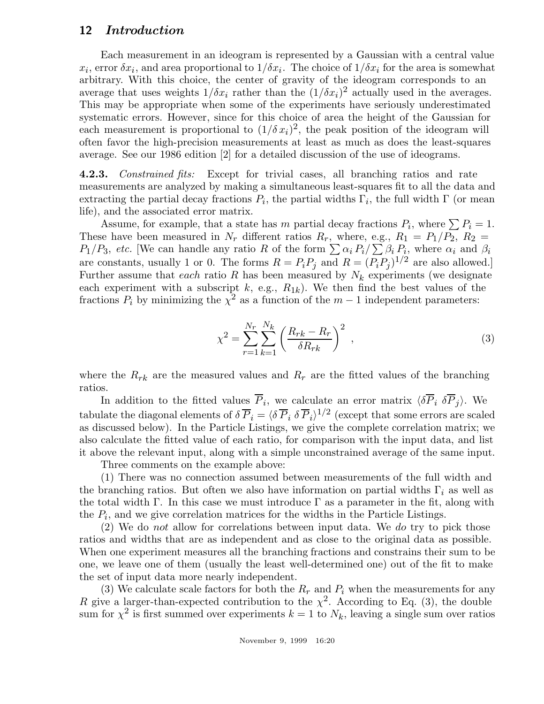Each measurement in an ideogram is represented by a Gaussian with a central value  $x_i$ , error  $\delta x_i$ , and area proportional to  $1/\delta x_i$ . The choice of  $1/\delta x_i$  for the area is somewhat arbitrary. With this choice, the center of gravity of the ideogram corresponds to an average that uses weights  $1/\delta x_i$  rather than the  $(1/\delta x_i)^2$  actually used in the averages. This may be appropriate when some of the experiments have seriously underestimated systematic errors. However, since for this choice of area the height of the Gaussian for each measurement is proportional to  $(1/\delta x_i)^2$ , the peak position of the ideogram will often favor the high-precision measurements at least as much as does the least-squares average. See our 1986 edition [2] for a detailed discussion of the use of ideograms.

**4.2.3.** Constrained fits: Except for trivial cases, all branching ratios and rate measurements are analyzed by making a simultaneous least-squares fit to all the data and extracting the partial decay fractions  $P_i$ , the partial widths  $\Gamma_i$ , the full width  $\Gamma$  (or mean life), and the associated error matrix.

Assume, for example, that a state has m partial decay fractions  $P_i$ , where  $\sum P_i = 1$ . These have been measured in  $N_r$  different ratios  $R_r$ , where, e.g.,  $R_1 = P_1/P_2$ ,  $R_2 =$  $P_1/P_3$ , etc. [We can handle any ratio R of the form  $\sum \alpha_i P_i/\sum \beta_i P_i$ , where  $\alpha_i$  and  $\beta_i$ are constants, usually 1 or 0. The forms  $R = P_i P_j$  and  $R = (P_i P_j)^{1/2}$  are also allowed.] Further assume that each ratio R has been measured by  $N_k$  experiments (we designate each experiment with a subscript k, e.g.,  $R_{1k}$ ). We then find the best values of the fractions  $P_i$  by minimizing the  $\chi^2$  as a function of the  $m-1$  independent parameters:

$$
\chi^2 = \sum_{r=1}^{N_r} \sum_{k=1}^{N_k} \left( \frac{R_{rk} - R_r}{\delta R_{rk}} \right)^2 , \qquad (3)
$$

where the  $R_{rk}$  are the measured values and  $R_r$  are the fitted values of the branching ratios.

In addition to the fitted values  $\overline{P}_i$ , we calculate an error matrix  $\langle \delta \overline{P}_i \delta \overline{P}_j \rangle$ . We tabulate the diagonal elements of  $\delta \overline{P}_i = \langle \delta \overline{P}_i \delta \overline{P}_i \rangle^{1/2}$  (except that some errors are scaled as discussed below). In the Particle Listings, we give the complete correlation matrix; we also calculate the fitted value of each ratio, for comparison with the input data, and list it above the relevant input, along with a simple unconstrained average of the same input.

Three comments on the example above:

(1) There was no connection assumed between measurements of the full width and the branching ratios. But often we also have information on partial widths  $\Gamma_i$  as well as the total width Γ. In this case we must introduce  $\Gamma$  as a parameter in the fit, along with the  $P_i$ , and we give correlation matrices for the widths in the Particle Listings.

(2) We do not allow for correlations between input data. We do try to pick those ratios and widths that are as independent and as close to the original data as possible. When one experiment measures all the branching fractions and constrains their sum to be one, we leave one of them (usually the least well-determined one) out of the fit to make the set of input data more nearly independent.

(3) We calculate scale factors for both the  $R_r$  and  $P_i$  when the measurements for any R give a larger-than-expected contribution to the  $\chi^2$ . According to Eq. (3), the double sum for  $\chi^2$  is first summed over experiments  $k = 1$  to  $N_k$ , leaving a single sum over ratios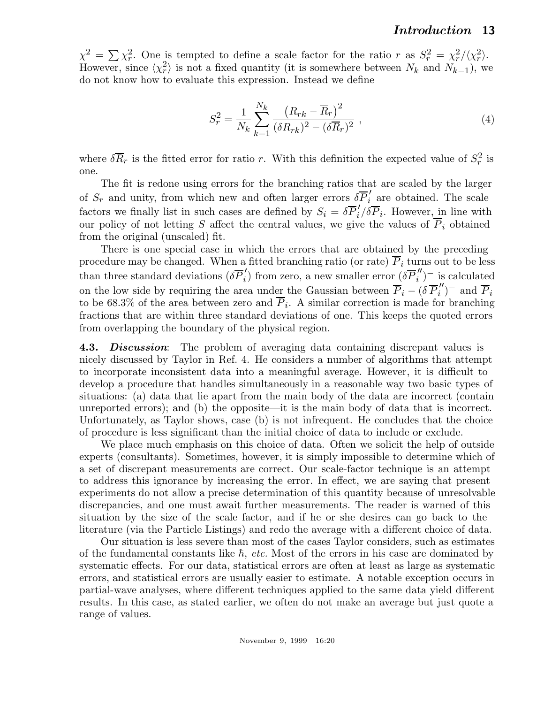$\chi^2 = \sum \chi^2_r$ . One is tempted to define a scale factor for the ratio r as  $S_r^2 = \chi^2_r / \langle \chi^2_r \rangle$ . However, since  $\langle \chi^2_r \rangle$  is not a fixed quantity (it is somewhere between  $N_k$  and  $N_{k-1}$ ), we do not know how to evaluate this expression. Instead we define

$$
S_r^2 = \frac{1}{N_k} \sum_{k=1}^{N_k} \frac{\left(R_{rk} - \overline{R}_r\right)^2}{(\delta R_{rk})^2 - (\delta \overline{R}_r)^2} \,,\tag{4}
$$

where  $\delta \overline{R}_r$  is the fitted error for ratio r. With this definition the expected value of  $S_r^2$  is one.

The fit is redone using errors for the branching ratios that are scaled by the larger of  $S_r$  and unity, from which new and often larger errors  $\delta \overline{P}'_i$  are obtained. The scale factors we finally list in such cases are defined by  $S_i = \delta \overline{P'_i}/\delta \overline{P}_i$ . However, in line with our policy of not letting S affect the central values, we give the values of  $\overline{P}_i$  obtained from the original (unscaled) fit.

There is one special case in which the errors that are obtained by the preceding procedure may be changed. When a fitted branching ratio (or rate)  $\overline{P}_i$  turns out to be less than three standard deviations  $(\delta \overline{P}'_i)$  from zero, a new smaller error  $(\delta \overline{P}''_i)^-$  is calculated on the low side by requiring the area under the Gaussian between  $\overline{P}_i - (\delta \overline{P}_i'')^-$  and  $\overline{P}_i$ to be 68.3% of the area between zero and  $\overline{P}_i$ . A similar correction is made for branching fractions that are within three standard deviations of one. This keeps the quoted errors from overlapping the boundary of the physical region.

**4.3.** *Discussion*: The problem of averaging data containing discrepant values is nicely discussed by Taylor in Ref. 4. He considers a number of algorithms that attempt to incorporate inconsistent data into a meaningful average. However, it is difficult to develop a procedure that handles simultaneously in a reasonable way two basic types of situations: (a) data that lie apart from the main body of the data are incorrect (contain unreported errors); and (b) the opposite—it is the main body of data that is incorrect. Unfortunately, as Taylor shows, case (b) is not infrequent. He concludes that the choice of procedure is less significant than the initial choice of data to include or exclude.

We place much emphasis on this choice of data. Often we solicit the help of outside experts (consultants). Sometimes, however, it is simply impossible to determine which of a set of discrepant measurements are correct. Our scale-factor technique is an attempt to address this ignorance by increasing the error. In effect, we are saying that present experiments do not allow a precise determination of this quantity because of unresolvable discrepancies, and one must await further measurements. The reader is warned of this situation by the size of the scale factor, and if he or she desires can go back to the literature (via the Particle Listings) and redo the average with a different choice of data.

Our situation is less severe than most of the cases Taylor considers, such as estimates of the fundamental constants like  $\hbar$ , etc. Most of the errors in his case are dominated by systematic effects. For our data, statistical errors are often at least as large as systematic errors, and statistical errors are usually easier to estimate. A notable exception occurs in partial-wave analyses, where different techniques applied to the same data yield different results. In this case, as stated earlier, we often do not make an average but just quote a range of values.